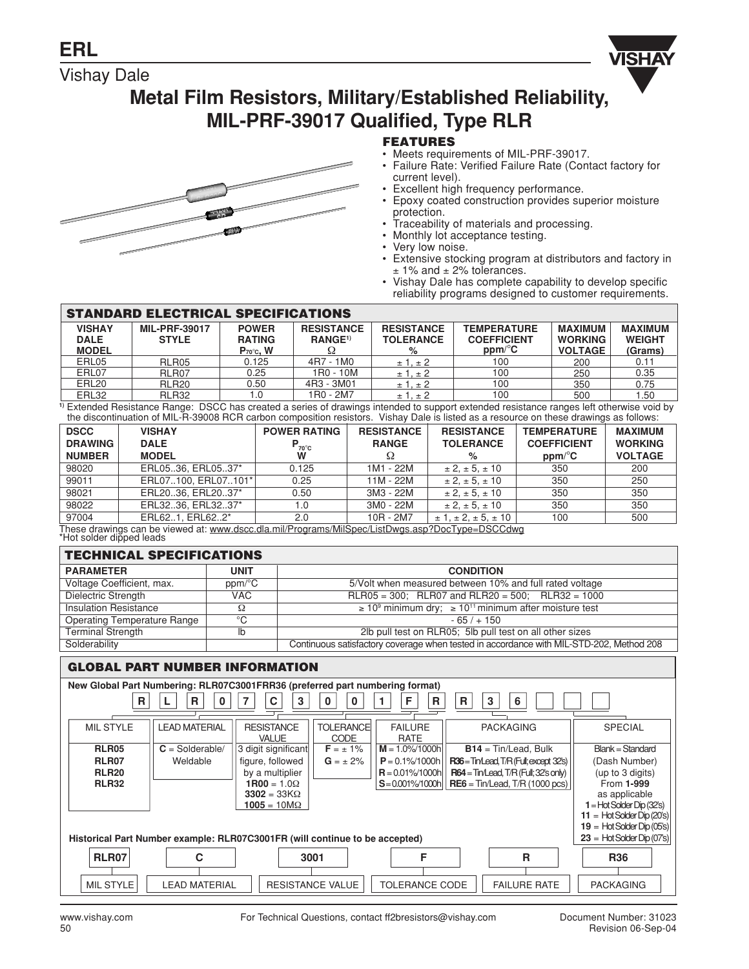# Vishay Dale



# **Metal Film Resistors, Military/Established Reliability, MIL-PRF-39017 Qualified, Type RLR**



- Meets requirements of MIL-PRF-39017.
- Failure Rate: Verified Failure Rate (Contact factory for current level).
- Excellent high frequency performance.
- Epoxy coated construction provides superior moisture protection.
- Traceability of materials and processing.
- Monthly lot acceptance testing.
- Very low noise.
- Extensive stocking program at distributors and factory in  $± 1\%$  and  $± 2\%$  tolerances.
- Vishay Dale has complete capability to develop specific reliability programs designed to customer requirements.

#### **STANDARD ELECTRICAL SPECIFICATIONS**

| <b>VISHAY</b><br><b>DALE</b><br><b>MODEL</b> | <b>MIL-PRF-39017</b><br><b>STYLE</b>       | <b>POWER</b><br><b>RATING</b><br>$P_{70}$ °c, W | <b>RESISTANCE</b><br>RANGE <sup>1)</sup> | <b>RESISTANCE</b><br><b>TOLERANCE</b><br>% | <b>TEMPERATURE</b><br><b>COEFFICIENT</b><br>$ppm$ <sup>o</sup> $C$ | <b>MAXIMUM</b><br><b>WORKING</b><br><b>VOLTAGE</b> | <b>MAXIMUM</b><br><b>WEIGHT</b><br>(Grams) |  |
|----------------------------------------------|--------------------------------------------|-------------------------------------------------|------------------------------------------|--------------------------------------------|--------------------------------------------------------------------|----------------------------------------------------|--------------------------------------------|--|
| ERL05                                        | RLR05                                      | 0.125                                           | 4R7 - 1M0                                | ± 1. ± 2                                   | 100                                                                | 200                                                | 0.11                                       |  |
| ERL07                                        | RLR07                                      | 0.25                                            | 1R0 - 10M                                | ± 1. ± 2                                   | 100                                                                | 250                                                | 0.35                                       |  |
| ERL20                                        | RLR <sub>20</sub>                          | 0.50                                            | 4R3 - 3M01                               | ± 1. ± 2                                   | 100                                                                | 350                                                | 0.75                                       |  |
| ERL32                                        | RLR32                                      |                                                 | 1R0 - 2M7                                | ± 1. ± 2                                   | 100                                                                | 500                                                | .50                                        |  |
| _ _ _ _ _ _                                  | .<br>-----<br>.<br>.<br>$\cdots$<br>$\sim$ |                                                 |                                          |                                            |                                                                    |                                                    |                                            |  |

<sup>1)</sup> Extended Resistance Range: DSCC has created a series of drawings intended to support extended resistance ranges left otherwise void by<br>the discontinuation of MIL-R-39008 RCR carbon composition resistors. Vishay Dale i

| <b>DSCC</b>    | <b>VISHAY</b>                                                                                                                                  | <b>POWER RATING</b> | <b>RESISTANCE</b> | <b>RESISTANCE</b>                   | <b>TEMPERATURE</b>     | <b>MAXIMUM</b> |
|----------------|------------------------------------------------------------------------------------------------------------------------------------------------|---------------------|-------------------|-------------------------------------|------------------------|----------------|
| <b>DRAWING</b> | <b>DALE</b>                                                                                                                                    | $P_{70^{\circ}C}$   | <b>RANGE</b>      | <b>TOLERANCE</b>                    | <b>COEFFICIENT</b>     | <b>WORKING</b> |
| <b>NUMBER</b>  | <b>MODEL</b>                                                                                                                                   | W                   |                   | ℅                                   | $ppm$ <sup>o</sup> $C$ | <b>VOLTAGE</b> |
| 98020          | ERL0536. ERL0537*                                                                                                                              | 0.125               | 1M1 - 22M         | $\pm 2, \pm 5, \pm 10$              | 350                    | 200            |
| 99011          | ERL07100, ERL07101*                                                                                                                            | 0.25                | 11M - 22M         | $\pm 2, \pm 5, \pm 10$              | 350                    | 250            |
| 98021          | ERL2036, ERL2037*                                                                                                                              | 0.50                | 3M3 - 22M         | $\pm 2. \pm 5. \pm 10$              | 350                    | 350            |
| 98022          | ERL3236, ERL3237*                                                                                                                              | 1.0                 | 3M0 - 22M         | $\pm 2, \pm 5, \pm 10$              | 350                    | 350            |
| 97004          | ERL621. ERL622*<br>$\tau$ les en skeudens en les deurs de reconneles estr $\tau$ uns anno 1410. Extreme de Romero AD es $\tau$ anno ROM de les | 2.0                 | 10R - 2M7         | $\pm$ 1. $\pm$ 2. $\pm$ 5. $\pm$ 10 | 100                    | 500            |

These drawings can be viewed at: www.dscc.dla.mil/Programs/MilSpec/ListDwgs.asp?DocType=DSCCdwg<br>\*Hot solder dipped leads

#### **TECHNICAL SPECIFICATIONS**

| TEVHINDAE ƏFEVIFIYATIVNƏ     |             |                                                                                         |  |  |  |
|------------------------------|-------------|-----------------------------------------------------------------------------------------|--|--|--|
| <b>PARAMETER</b>             | <b>UNIT</b> | <b>CONDITION</b>                                                                        |  |  |  |
| Voltage Coefficient, max.    | ppm/°C      | 5/Volt when measured between 10% and full rated voltage                                 |  |  |  |
| Dielectric Strength          | VAC.        | $RLR05 = 300$ ; $RLR07$ and $RLR20 = 500$ ; $RLR32 = 1000$                              |  |  |  |
| <b>Insulation Resistance</b> | Ω           | $\geq 10^9$ minimum dry; $\geq 10^{11}$ minimum after moisture test                     |  |  |  |
| Operating Temperature Range  | °C          | $-65/ + 150$                                                                            |  |  |  |
| <b>Terminal Strength</b>     | lb          | 2lb pull test on RLR05; 5lb pull test on all other sizes                                |  |  |  |
| Solderability                |             | Continuous satisfactory coverage when tested in accordance with MIL-STD-202, Method 208 |  |  |  |

## **GLOBAL PART NUMBER INFORMATION**

| New Global Part Numbering: RLR07C3001FRR36 (preferred part numbering format)                                |                      |                                   |                                 |                               |                                          |                              |
|-------------------------------------------------------------------------------------------------------------|----------------------|-----------------------------------|---------------------------------|-------------------------------|------------------------------------------|------------------------------|
| C<br>R<br>R<br>3<br>F<br>3<br>6<br>B<br>R.<br>0<br>0                                                        |                      |                                   |                                 |                               |                                          |                              |
| <b>MIL STYLE</b>                                                                                            | <b>LEAD MATERIAL</b> | <b>RESISTANCE</b><br><b>VALUE</b> | <b>TOLERANCE</b><br><b>CODE</b> | <b>FAILURE</b><br><b>RATE</b> | <b>PACKAGING</b>                         | <b>SPECIAL</b>               |
| RLR05                                                                                                       | $C = S$ olderable/   | 3 digit significant               | $F = \pm 1\%$                   | $M = 1.0\%/1000h$             | $B14 = Tin/lead$ , Bulk                  | <b>Blank = Standard</b>      |
| RLR07                                                                                                       | Weldable             | figure, followed                  | $G = \pm 2\%$                   | $P = 0.1\%/1000h$             | R36=Tin/Lead, T/R (Full; except 32's)    | (Dash Number)                |
| <b>RLR20</b>                                                                                                |                      | by a multiplier                   |                                 | $R = 0.01\% / 1000h$          | $R64 = Tm$ Lead, $T/R$ (Full; 32's only) | (up to 3 digits)             |
| <b>RLR32</b>                                                                                                |                      | $1R00 = 1.0\Omega$                |                                 | $S = 0.001\%$ /1000h          | $RE6 = Tin/lead$ , T/R (1000 pcs)        | From 1-999                   |
|                                                                                                             |                      | $3302 = 33K\Omega$                |                                 |                               |                                          | as applicable                |
|                                                                                                             |                      | $1005 = 10 M\Omega$               |                                 |                               |                                          | $1 =$ Hot Solder Dip (32's)  |
|                                                                                                             |                      |                                   |                                 |                               |                                          | 11 = Hot Solder Dip $(20's)$ |
| $19 =$ Hot Solder Dip (05's)                                                                                |                      |                                   |                                 |                               |                                          |                              |
| $23 =$ Hot Solder Dip (07's)<br>Historical Part Number example: RLR07C3001FR (will continue to be accepted) |                      |                                   |                                 |                               |                                          |                              |
| <b>RLR07</b><br>R<br>C<br>3001<br><b>R36</b><br>F                                                           |                      |                                   |                                 |                               |                                          |                              |
| <b>MIL STYLE</b>                                                                                            | <b>LEAD MATERIAL</b> |                                   | <b>RESISTANCE VALUE</b>         | <b>TOLERANCE CODE</b>         | <b>FAILURE RATE</b>                      | <b>PACKAGING</b>             |